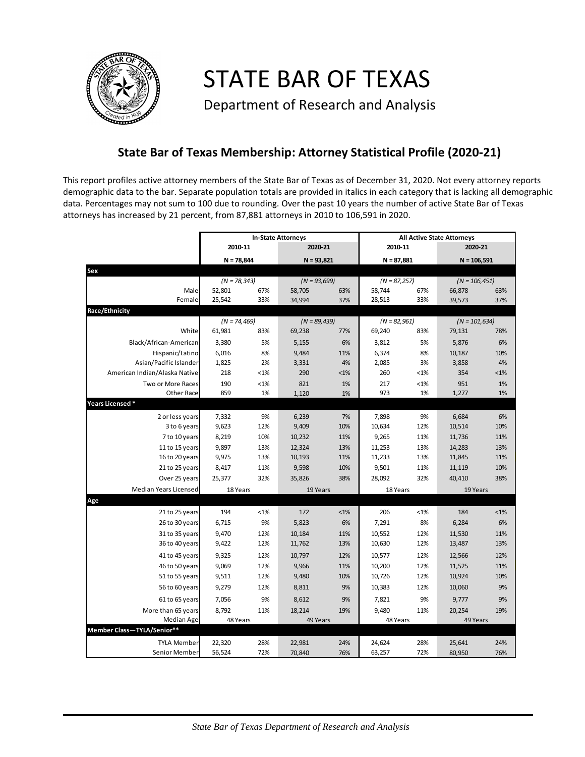

STATE BAR OF TEXAS

Department of Research and Analysis

## **State Bar of Texas Membership: Attorney Statistical Profile (2020-21)**

This report profiles active attorney members of the State Bar of Texas as of December 31, 2020. Not every attorney reports demographic data to the bar. Separate population totals are provided in italics in each category that is lacking all demographic data. Percentages may not sum to 100 due to rounding. Over the past 10 years the number of active State Bar of Texas attorneys has increased by 21 percent, from 87,881 attorneys in 2010 to 106,591 in 2020.

|                               | <b>In-State Attorneys</b> |         |                 |         | <b>All Active State Attorneys</b> |         |                  |         |  |
|-------------------------------|---------------------------|---------|-----------------|---------|-----------------------------------|---------|------------------|---------|--|
|                               | 2010-11                   |         | 2020-21         |         | 2010-11                           |         | 2020-21          |         |  |
|                               | $N = 78,844$              |         | $N = 93,821$    |         | $N = 87,881$                      |         | $N = 106,591$    |         |  |
| Sex                           |                           |         |                 |         |                                   |         |                  |         |  |
|                               | $(N = 78, 343)$           |         | $(N = 93,699)$  |         | $(N = 87,257)$                    |         | $(N = 106, 451)$ |         |  |
| Male                          | 52,801                    | 67%     | 58,705          | 63%     | 58,744                            | 67%     | 66,878           | 63%     |  |
| Female                        | 25,542                    | 33%     | 34,994          | 37%     | 28,513                            | 33%     | 39,573           | 37%     |  |
| Race/Ethnicity                |                           |         |                 |         |                                   |         |                  |         |  |
|                               | $(N = 74, 469)$           |         | $(N = 89, 439)$ |         | $(N = 82,961)$                    |         | $(N = 101, 634)$ |         |  |
| White                         | 61,981                    | 83%     | 69,238          | 77%     | 69,240                            | 83%     | 79,131           | 78%     |  |
| Black/African-American        | 3,380                     | 5%      | 5,155           | 6%      | 3,812                             | 5%      | 5,876            | 6%      |  |
| Hispanic/Latino               | 6,016                     | 8%      | 9,484           | 11%     | 6,374                             | 8%      | 10,187           | 10%     |  |
| Asian/Pacific Islander        | 1,825                     | 2%      | 3,331           | 4%      | 2,085                             | 3%      | 3,858            | 4%      |  |
| American Indian/Alaska Native | 218                       | <1%     | 290             | $< 1\%$ | 260                               | $< 1\%$ | 354              | $< 1\%$ |  |
| Two or More Races             | 190                       | $< 1\%$ | 821             | 1%      | 217                               | <1%     | 951              | 1%      |  |
| <b>Other Race</b>             | 859                       | 1%      | 1,120           | 1%      | 973                               | 1%      | 1,277            | 1%      |  |
| Years Licensed*               |                           |         |                 |         |                                   |         |                  |         |  |
| 2 or less years               | 7,332                     | 9%      | 6,239           | 7%      | 7,898                             | 9%      | 6,684            | 6%      |  |
| 3 to 6 years                  | 9,623                     | 12%     | 9,409           | 10%     | 10,634                            | 12%     | 10,514           | 10%     |  |
| 7 to 10 years                 | 8,219                     | 10%     | 10,232          | 11%     | 9,265                             | 11%     | 11,736           | 11%     |  |
| 11 to 15 years                | 9,897                     | 13%     | 12,324          | 13%     | 11,253                            | 13%     | 14,283           | 13%     |  |
| 16 to 20 years                | 9,975                     | 13%     | 10,193          | 11%     | 11,233                            | 13%     | 11,845           | 11%     |  |
| 21 to 25 years                | 8,417                     | 11%     | 9,598           | 10%     | 9,501                             | 11%     | 11,119           | 10%     |  |
| Over 25 years                 | 25,377                    | 32%     | 35,826          | 38%     | 28,092                            | 32%     | 40,410           | 38%     |  |
| Median Years Licensed         | 18 Years                  |         | 19 Years        |         | 18 Years                          |         | 19 Years         |         |  |
| Age                           |                           |         |                 |         |                                   |         |                  |         |  |
| 21 to 25 years                | 194                       | $< 1\%$ | 172             | $< 1\%$ | 206                               | $< 1\%$ | 184              | $< 1\%$ |  |
| 26 to 30 years                | 6,715                     | 9%      | 5,823           | 6%      | 7,291                             | 8%      | 6,284            | 6%      |  |
| 31 to 35 years                | 9,470                     | 12%     | 10,184          | 11%     | 10,552                            | 12%     | 11,530           | 11%     |  |
| 36 to 40 years                | 9,422                     | 12%     | 11,762          | 13%     | 10,630                            | 12%     | 13,487           | 13%     |  |
| 41 to 45 years                | 9,325                     | 12%     | 10,797          | 12%     | 10,577                            | 12%     | 12,566           | 12%     |  |
| 46 to 50 years                | 9,069                     | 12%     | 9,966           | 11%     | 10,200                            | 12%     | 11,525           | 11%     |  |
| 51 to 55 years                | 9,511                     | 12%     | 9,480           | 10%     | 10,726                            | 12%     | 10,924           | 10%     |  |
| 56 to 60 years                | 9,279                     | 12%     | 8,811           | 9%      | 10,383                            | 12%     | 10,060           | 9%      |  |
| 61 to 65 years                | 7,056                     | 9%      | 8,612           | 9%      | 7,821                             | 9%      | 9,777            | 9%      |  |
| More than 65 years            | 8,792                     | 11%     | 18,214          | 19%     | 9,480                             | 11%     | 20,254           | 19%     |  |
| Median Age                    | 48 Years                  |         | 49 Years        |         | 48 Years                          |         | 49 Years         |         |  |
| Member Class-TYLA/Senior**    |                           |         |                 |         |                                   |         |                  |         |  |
| <b>TYLA Member</b>            | 22,320                    | 28%     | 22,981          | 24%     | 24,624                            | 28%     | 25,641           | 24%     |  |
| Senior Member                 | 56,524                    | 72%     | 70,840          | 76%     | 63,257                            | 72%     | 80,950           | 76%     |  |
|                               |                           |         |                 |         |                                   |         |                  |         |  |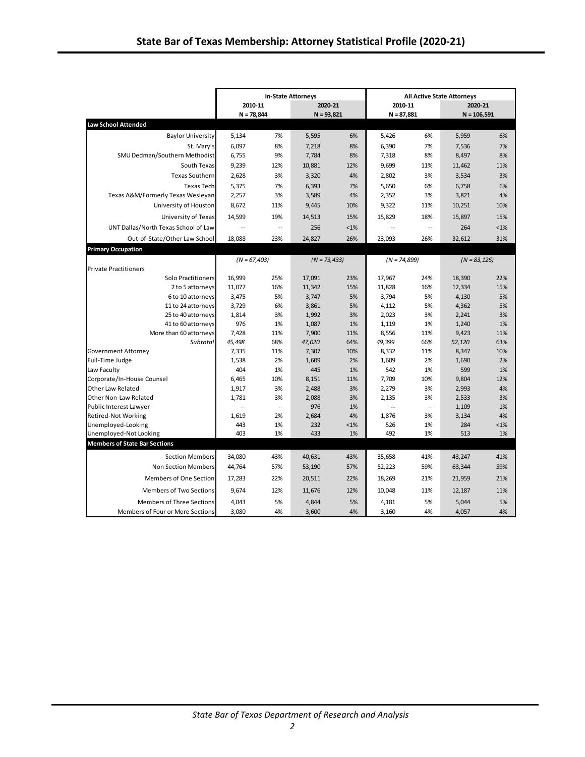|                                              |                |           | <b>In-State Attorneys</b> |               | <b>All Active State Attorneys</b> |           |                 |               |  |
|----------------------------------------------|----------------|-----------|---------------------------|---------------|-----------------------------------|-----------|-----------------|---------------|--|
|                                              | 2010-11        |           | 2020-21                   |               | 2010-11                           |           | 2020-21         |               |  |
|                                              | $N = 78,844$   |           | $N = 93,821$              |               | $N = 87,881$                      |           | $N = 106,591$   |               |  |
| <b>Law School Attended</b>                   |                |           |                           |               |                                   |           |                 |               |  |
| <b>Baylor University</b>                     | 5,134          | 7%        | 5,595                     | 6%            | 5,426                             | 6%        | 5,959           | 6%            |  |
| St. Mary's                                   | 6,097          | 8%        | 7,218                     | 8%            | 6,390                             | 7%        | 7,536           | 7%            |  |
| SMU Dedman/Southern Methodist                | 6,755          | 9%        | 7,784                     | 8%            | 7,318                             | 8%        | 8,497           | 8%            |  |
| South Texas                                  | 9,239          | 12%       | 10,881                    | 12%           | 9,699                             | 11%       | 11,462          | 11%           |  |
| <b>Texas Southern</b>                        | 2,628          | 3%        | 3,320                     | 4%            | 2,802                             | 3%        | 3,534           | 3%            |  |
| Texas Tech                                   | 5,375          | 7%        | 6,393                     | 7%            | 5,650                             | 6%        | 6,758           | 6%            |  |
| Texas A&M/Formerly Texas Wesleyan            | 2,257          | 3%        | 3,589                     | 4%            | 2,352                             | 3%        | 3,821           | 4%            |  |
| University of Houston                        | 8,672          | 11%       | 9,445                     | 10%           | 9,322                             | 11%       | 10,251          | 10%           |  |
| University of Texas                          | 14,599         | 19%       | 14,513                    | 15%           | 15,829                            | 18%       | 15.897          | 15%           |  |
| UNT Dallas/North Texas School of Law         | $\overline{a}$ | $\ddotsc$ | 256                       | $< 1\%$       | $\sim$                            | $\ddotsc$ | 264             | $< 1\%$       |  |
| Out-of-State/Other Law School                | 18,088         | 23%       | 24,827                    | 26%           | 23,093                            | 26%       | 32,612          | 31%           |  |
| <b>Primary Occupation</b>                    |                |           |                           |               |                                   |           |                 |               |  |
|                                              | $(N = 67,403)$ |           | $(N = 73,433)$            |               | $(N = 74,899)$                    |           | $(N = 83, 126)$ |               |  |
| <b>Private Practitioners</b>                 |                |           |                           |               |                                   |           |                 |               |  |
| Solo Practitioners                           | 16,999         | 25%       | 17,091                    | 23%           | 17,967                            | 24%       | 18,390          | 22%           |  |
| 2 to 5 attorneys                             | 11,077         | 16%       | 11,342                    | 15%           | 11,828                            | 16%       | 12,334          | 15%           |  |
| 6 to 10 attorneys                            | 3,475          | 5%        | 3,747                     | 5%            | 3,794                             | 5%        | 4,130           | 5%            |  |
| 11 to 24 attorneys                           | 3,729          | 6%        | 3,861                     | 5%            | 4,112                             | 5%        | 4,362           | 5%            |  |
| 25 to 40 attorneys                           | 1.814          | 3%        | 1,992                     | 3%            | 2.023                             | 3%        | 2,241           | 3%            |  |
| 41 to 60 attorneys                           | 976            | 1%        | 1,087                     | 1%            | 1,119                             | 1%        | 1,240           | 1%            |  |
| More than 60 attorneys                       | 7,428          | 11%       | 7,900                     | 11%           | 8,556                             | 11%       | 9,423           | 11%           |  |
| Subtotal                                     | 45,498         | 68%       | 47,020                    | 64%           | 49,399                            | 66%       | 52,120          | 63%           |  |
| Government Attorney                          | 7,335          | 11%       | 7,307                     | 10%           | 8,332                             | 11%       | 8,347           | 10%           |  |
| Full-Time Judge                              | 1,538          | 2%        | 1,609                     | 2%            | 1,609                             | 2%        | 1,690           | 2%            |  |
| Law Faculty                                  | 404            | 1%        | 445                       | 1%            | 542                               | 1%        | 599             | 1%            |  |
| Corporate/In-House Counsel                   | 6,465          | 10%       | 8,151                     | 11%           | 7,709                             | 10%       | 9,804           | 12%           |  |
| <b>Other Law Related</b>                     | 1,917          | 3%        | 2,488                     | 3%            | 2,279                             | 3%        | 2,993           | 4%            |  |
| Other Non-Law Related                        | 1,781          | 3%        | 2,088                     | 3%            | 2,135                             | 3%        | 2,533           | 3%            |  |
| <b>Public Interest Lawyer</b>                | $\ddotsc$      | $\ddotsc$ | 976                       | 1%            | $\mathbb{L}$                      | $\ddotsc$ | 1,109           | 1%            |  |
| <b>Retired-Not Working</b>                   | 1,619          | 2%        | 2,684                     | 4%            | 1,876                             | 3%        | 3,134           | 4%            |  |
| Unemployed-Looking<br>Unemployed-Not Looking | 443<br>403     | 1%<br>1%  | 232<br>433                | $< 1\%$<br>1% | 526<br>492                        | 1%<br>1%  | 284<br>513      | $< 1\%$<br>1% |  |
| <b>Members of State Bar Sections</b>         |                |           |                           |               |                                   |           |                 |               |  |
|                                              |                |           |                           |               |                                   |           |                 |               |  |
| <b>Section Members</b>                       | 34,080         | 43%       | 40,631                    | 43%           | 35,658                            | 41%       | 43,247          | 41%           |  |
| <b>Non Section Members</b>                   | 44,764         | 57%       | 53,190                    | 57%           | 52,223                            | 59%       | 63,344          | 59%           |  |
| Members of One Section                       | 17,283         | 22%       | 20,511                    | 22%           | 18,269                            | 21%       | 21,959          | 21%           |  |
| Members of Two Sections                      | 9,674          | 12%       | 11,676                    | 12%           | 10,048                            | 11%       | 12,187          | 11%           |  |
| <b>Members of Three Sections</b>             | 4,043          | 5%        | 4,844                     | 5%            | 4,181                             | 5%        | 5,044           | 5%            |  |
| Members of Four or More Sections             | 3.080          | 4%        | 3,600                     | 4%            | 3.160                             | 4%        | 4,057           | 4%            |  |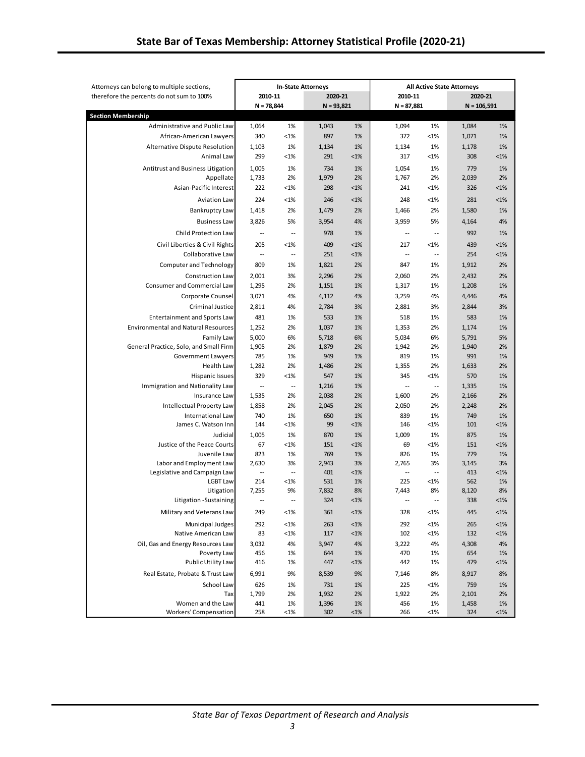| Attorneys can belong to multiple sections,  | <b>In-State Attorneys</b>  |                          |              | <b>All Active State Attorneys</b> |                          |                          |               |               |
|---------------------------------------------|----------------------------|--------------------------|--------------|-----------------------------------|--------------------------|--------------------------|---------------|---------------|
| therefore the percents do not sum to 100%   | 2010-11                    |                          | 2020-21      |                                   | 2010-11                  |                          | 2020-21       |               |
|                                             | $N = 78,844$               |                          | $N = 93,821$ |                                   | $N = 87,881$             |                          | $N = 106,591$ |               |
| <b>Section Membership</b>                   |                            |                          |              |                                   |                          |                          |               |               |
| Administrative and Public Law               | 1,064                      | 1%                       | 1,043        | 1%                                | 1,094                    | 1%                       | 1,084         | 1%            |
| African-American Lawyers                    | 340                        | <1%                      | 897          | 1%                                | 372                      | <1%                      | 1,071         | 1%            |
| Alternative Dispute Resolution              | 1,103                      | 1%                       | 1,134        | 1%                                | 1,134                    | 1%                       | 1,178         | 1%            |
| Animal Law                                  | 299                        | <1%                      | 291          | $< 1\%$                           | 317                      | <1%                      | 308           | $< 1\%$       |
| Antitrust and Business Litigation           | 1,005                      | 1%                       | 734          | 1%                                | 1,054                    | 1%                       | 779           | 1%            |
| Appellate                                   | 1,733                      | 2%                       | 1,979        | 2%                                | 1,767                    | 2%                       | 2,039         | 2%            |
| Asian-Pacific Interest                      | 222                        | <1%                      | 298          | $< 1\%$                           | 241                      | <1%                      | 326           | $< 1\%$       |
| <b>Aviation Law</b>                         | 224                        | $< 1\%$                  | 246          | $< 1\%$                           | 248                      | <1%                      | 281           | $< 1\%$       |
| Bankruptcy Law                              | 1,418                      | 2%                       | 1,479        | 2%                                | 1,466                    | 2%                       | 1,580         | 1%            |
| <b>Business Law</b>                         | 3,826                      | 5%                       | 3,954        | 4%                                | 3,959                    | 5%                       | 4,164         | 4%            |
| Child Protection Law                        | $\overline{\phantom{a}}$   | $\overline{\phantom{a}}$ | 978          | 1%                                | $\overline{\phantom{a}}$ | $\overline{\phantom{a}}$ | 992           | 1%            |
| Civil Liberties & Civil Rights              | 205                        | $<$ 1%                   | 409          | $< 1\%$                           | 217                      | <1%                      | 439           | $< 1\%$       |
| Collaborative Law                           | $\overline{\phantom{a}}$   | ٠.                       | 251          | $< 1\%$                           | --                       | ٠.                       | 254           | $< 1\%$       |
| <b>Computer and Technology</b>              | 809                        | 1%                       | 1,821        | 2%                                | 847                      | 1%                       | 1,912         | 2%            |
| <b>Construction Law</b>                     | 2,001                      | 3%                       | 2,296        | 2%                                | 2,060                    | 2%                       | 2,432         | 2%            |
| Consumer and Commercial Law                 | 1,295                      | 2%                       | 1,151        | 1%                                | 1,317                    | 1%                       | 1,208         | 1%            |
| Corporate Counsel                           | 3,071                      | 4%                       | 4,112        | 4%                                | 3,259                    | 4%                       | 4,446         | 4%            |
| Criminal Justice                            | 2,811                      | 4%                       | 2,784        | 3%                                | 2,881                    | 3%                       | 2,844         | 3%            |
| <b>Entertainment and Sports Law</b>         | 481                        | 1%                       | 533          | 1%                                | 518                      | 1%                       | 583           | 1%            |
| <b>Environmental and Natural Resources</b>  | 1,252                      | 2%                       | 1,037        | 1%                                | 1,353                    | 2%                       | 1,174         | 1%            |
| <b>Family Law</b>                           | 5,000                      | 6%                       | 5,718        | 6%                                | 5,034                    | 6%                       | 5,791         | 5%            |
| General Practice, Solo, and Small Firm      | 1,905                      | 2%                       | 1,879        | 2%                                | 1,942                    | 2%                       | 1,940         | 2%            |
| <b>Government Lawyers</b>                   | 785                        | 1%                       | 949          | 1%                                | 819                      | 1%                       | 991           | 1%            |
| <b>Health Law</b>                           | 1,282                      | 2%                       | 1,486        | 2%                                | 1,355                    | 2%                       | 1,633         | 2%            |
| <b>Hispanic Issues</b>                      | 329                        | $< 1\%$                  | 547          | 1%                                | 345                      | <1%                      | 570           | 1%            |
| Immigration and Nationality Law             | $\overline{\phantom{a}}$ . | $\overline{\phantom{a}}$ | 1,216        | 1%                                | --                       | $\ddotsc$                | 1,335         | 1%            |
| Insurance Law                               | 1,535                      | 2%                       | 2,038        | 2%                                | 1,600                    | 2%                       | 2,166         | 2%            |
| Intellectual Property Law                   | 1,858                      | 2%                       | 2,045        | 2%                                | 2,050                    | 2%                       | 2,248         | 2%            |
| <b>International Law</b>                    | 740                        | 1%                       | 650          | 1%                                | 839                      | 1%                       | 749           | 1%            |
| James C. Watson Inn                         | 144                        | <1%                      | 99           | <1%                               | 146                      | <1%                      | 101           | $< 1\%$       |
| Judicial                                    | 1,005                      | 1%                       | 870          | 1%                                | 1,009                    | 1%                       | 875           | 1%            |
| Justice of the Peace Courts<br>Juvenile Law | 67<br>823                  | <1%<br>1%                | 151<br>769   | $< 1\%$<br>1%                     | 69<br>826                | <1%<br>1%                | 151<br>779    | $< 1\%$<br>1% |
| Labor and Employment Law                    | 2,630                      | 3%                       | 2,943        | 3%                                | 2,765                    | 3%                       | 3,145         | 3%            |
| Legislative and Campaign Law                | $\overline{\phantom{a}}$   | $\overline{\phantom{a}}$ | 401          | $< 1\%$                           | $\overline{\phantom{a}}$ | $\ddotsc$                | 413           | $< 1\%$       |
| <b>LGBT Law</b>                             | 214                        | <1%                      | 531          | 1%                                | 225                      | <1%                      | 562           | 1%            |
| Litigation                                  | 7,255                      | 9%                       | 7,832        | 8%                                | 7,443                    | 8%                       | 8,120         | 8%            |
| Litigation - Sustaining                     | $\overline{\phantom{a}}$ . | $\overline{a}$           | 324          | $< 1\%$                           | $\overline{a}$           | $\overline{\phantom{a}}$ | 338           | $< 1\%$       |
| Military and Veterans Law                   | 249                        | <1%                      | 361          | $< 1\%$                           | 328                      | <1%                      | 445           | $< 1\%$       |
| Municipal Judges                            | 292                        | <1%                      | 263          | $< 1\%$                           | 292                      | <1%                      | 265           | $< 1\%$       |
| Native American Law                         | 83                         | $<$ 1%                   | 117          | $< 1\%$                           | 102                      | <1%                      | 132           | $< 1\%$       |
| Oil, Gas and Energy Resources Law           | 3,032                      | 4%                       | 3,947        | 4%                                | 3,222                    | 4%                       | 4,308         | 4%            |
| Poverty Law                                 | 456                        | 1%                       | 644          | 1%                                | 470                      | 1%                       | 654           | 1%            |
| Public Utility Law                          | 416                        | 1%                       | 447          | $< 1\%$                           | 442                      | 1%                       | 479           | $< 1\%$       |
| Real Estate, Probate & Trust Law            | 6,991                      | 9%                       | 8,539        | 9%                                | 7,146                    | 8%                       | 8,917         | 8%            |
| School Law                                  | 626                        | 1%                       | 731          | 1%                                | 225                      | <1%                      | 759           | 1%            |
| Tax                                         | 1,799                      | 2%                       | 1,932        | 2%                                | 1,922                    | 2%                       | 2,101         | 2%            |
| Women and the Law                           | 441                        | 1%                       | 1,396        | 1%                                | 456                      | 1%                       | 1,458         | 1%            |
| <b>Workers' Compensation</b>                | 258                        | $<$ 1%                   | 302          | <1%                               | 266                      | $<1\%$                   | 324           | $< 1\%$       |